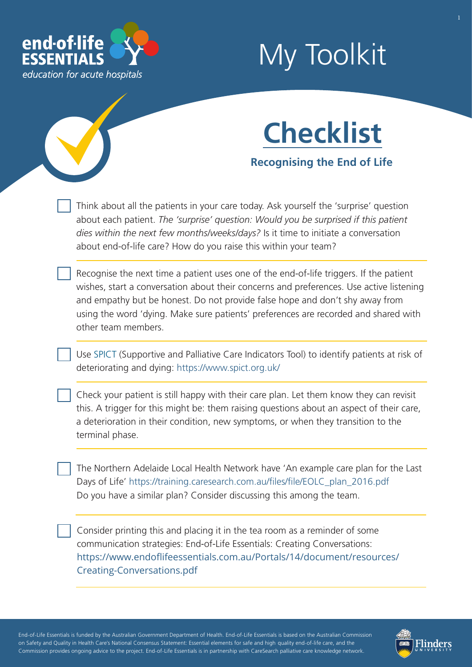

# My Toolkit



**Recognising the End of Life** 

Think about all the patients in your care today. Ask yourself the 'surprise' question about each patient. *The 'surprise' question: Would you be surprised if this patient dies within the next few months/weeks/days?* Is it time to initiate a conversation about end-of-life care? How do you raise this within your team?

Recognise the next time a patient uses one of the end-of-life triggers. If the patient wishes, start a conversation about their concerns and preferences. Use active listening and empathy but be honest. Do not provide false hope and don't shy away from using the word 'dying. Make sure patients' preferences are recorded and shared with other team members.

Use [SPICT](https://www.endoflifeessentials.com.au/Portals/14/document/SPICT_April_2019_EOLE.pdf) (Supportive and Palliative Care Indicators Tool) to identify patients at risk of deteriorating and dying:<https://www.spict.org.uk/>

Check your patient is still happy with their care plan. Let them know they can revisit this. A trigger for this might be: them raising questions about an aspect of their care, a deterioration in their condition, new symptoms, or when they transition to the terminal phase.

The Northern Adelaide Local Health Network have 'An example care plan for the Last Days of Life' https://training.caresearch.com.au/files/file/EOLC\_plan\_2016.pdf Do you have a similar plan? Consider discussing this among the team.

[Consider printing this and placing it in the tea room as a reminder of some](https://www.caresearch.com.au/caresearch/Portals/0/EoLEssentials/Creating Conversations.pdf)  communication strategies: End-of-Life Essentials: Creating Conversations: [https://www.endoflifeessentials.com.au/Portals/14/document/resources/](https://www.endoflifeessentials.com.au/Portals/14/document/resources/Creating-Conversations.pdf) Creating-Conversations.pdf

- - - - End-of-Life Essentials is funded by the Australian Government Department of Health. End-of-Life Essentials is based on the Australian Commission ' - - - on Safety and Quality in Health Care's National Consensus Statement: Essential elements for safe and high quality end-of-life care, and the - - Commission provides ongoing advice to the project. End-of-Life Essentials is in partnership with CareSearch palliative care knowledge network.

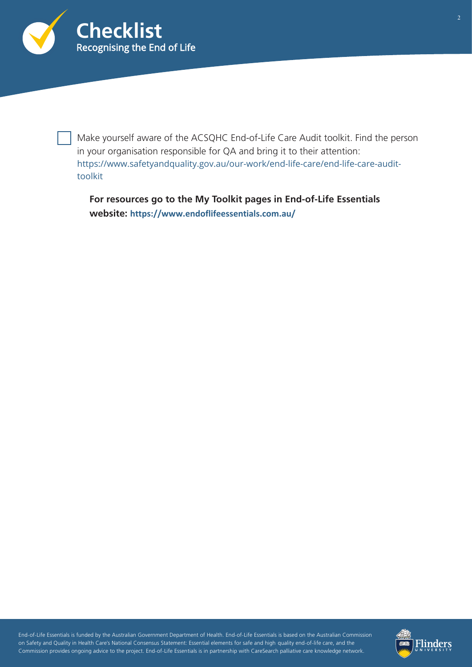

Make yourself aware of the ACSQHC End-of-Life Care Audit toolkit. Find the person in your organisation responsible for QA and bring it to their attention: [https://www.safetyandquality.gov.au/our-work/end-life-care/end-life-care-audit](https://www.safetyandquality.gov.au/our-work/end-life-care/end-life-care-audit-toolkit)toolkit

**For resources go to the My Toolkit pages in End-of-Life Essentials website: <https://www.endoflifeessentials.com.au/>**

- - - - End-of-Life Essentials is funded by the Australian Government Department of Health. End-of-Life Essentials is based on the Australian Commission ' - - - on Safety and Quality in Health Care's National Consensus Statement: Essential elements for safe and high quality end-of-life care, and the - - Commission provides ongoing advice to the project. End-of-Life Essentials is in partnership with CareSearch palliative care knowledge network.

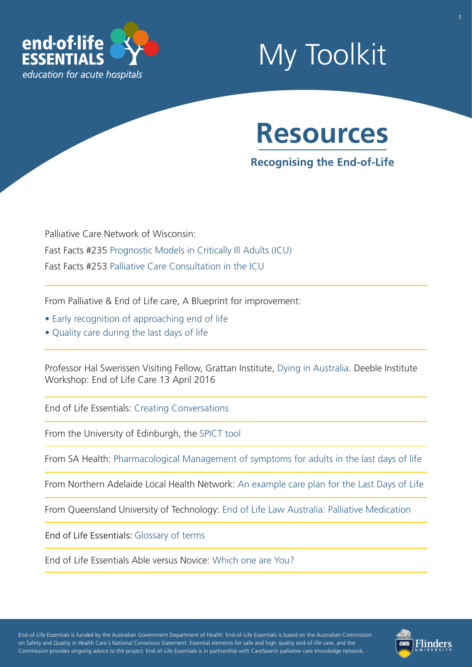

## My Toolkit



## **Recognising the End-of-Life**

Palliative Care Network of Wisconsin: Fast Facts #23[5 Prognostic Models in Critically Ill Adults \(](https://www.mypcnow.org/blank-y6vgp)ICU) F[ast Facts #253 Palliative Care Consultation in the ICU](https://www.mypcnow.org/blank-rkkv0) 

From Palliative & End of Life care, A Blueprint for improvement:

- [Early recognition of approaching end of life](https://www.aci.health.nsw.gov.au/palliative-care-blueprint/the-blueprint/essential-components/essential-component-4)
- [Quality care during the last days of life](https://www.aci.health.nsw.gov.au/palliative-care-blueprint/the-blueprint/essential-components/essential-component-8)

Professor Hal Swerissen Visiting Fellow, Grattan Institute, [Dying in Australia.](https://ahha.asn.au/sites/default/files/civicrm/persist/contribute/files/Hal Swerissen - Dying in Australia.pdf) Deeble Institute Workshop: End of Life Care 13 April 2016

End of Life Essentials: [Creating Conversations](https://www.endoflifeessentials.com.au/Portals/14/document/resources/Creating-Conversations.pdf) 

From the University of Edinburgh, the [SPICT tool](https://www.endoflifeessentials.com.au/Portals/14/document/SPICT_April_2019_EOLE.pdf) 

From SA Health: [Pharmacological Management of symptoms for adults in the last days of life](https://www.sahealth.sa.gov.au/wps/wcm/connect/public+content/sa+health+internet/clinical+resources/clinical+programs+and+practice+guidelines/medicines+and+drugs/pharmacological+management+of+symptoms+for+adults+in+the+last+days+of+life/pharmacological+management+of+symptoms+for+adults+in+the+last+days+of+life) 

From Northern Adelaide Local Health Network: [An example care plan for the Last Days of Life](https://training.caresearch.com.au/files/file/EOLC_plan_2016.pdf) 

From Queensland University of Technology: [End of Life Law Australia: Palliative Medication](https://end-of-life.qut.edu.au/palliative-care) 

End of Life Essentials: [Glossary of terms](https://www.endoflifeessentials.com.au/tabid/5311/Default.aspx)

End of Life Essentials Able versus Novice: [Which one are You?](https://www.endoflifeessentials.com.au/Portals/14/Images/Education%20Module/ABLE-VS-NOVICE.jpg)

- - - - End-of-Life Essentials is funded by the Australian Government Department of Health. End-of-Life Essentials is based on the Australian Commission on Safety and Quality in Health Care s National Consensus Statement: Essential elements for safe and high quality end-of-life care, and the - - Commission provides ongoing advice to the project. End-of-Life Essentials is in partnership with CareSearch palliative care knowledge network.

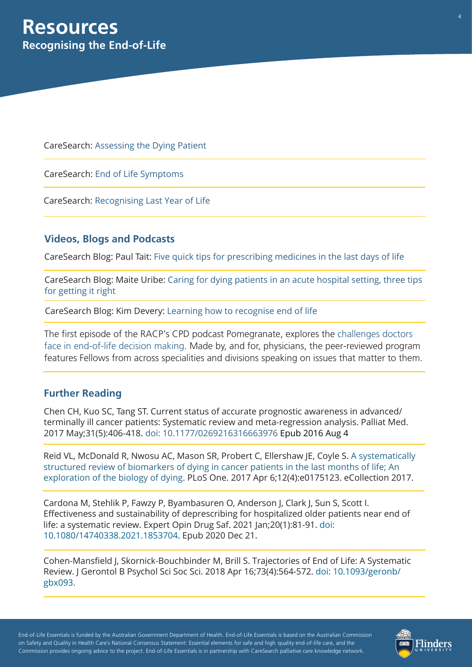CareSearch: [Assessing the Dying Patient](https://www.caresearch.com.au/tabid/6262/Default.aspx)

CareSearch: [End of Life Symptoms](https://www.caresearch.com.au/tabid/6311/Default.aspx)

CareSearch: [Recognising Last Year of Life](https://www.caresearch.com.au/tabid/6229/Default.aspx)

### **Videos, Blogs and Podcasts**

CareSearch Blog: Paul Tait: [Five quick tips for prescribing medicines in the last days of life](https://www.caresearch.com.au/TabId/6568/ArtMID/17907/ArticleID/2468/Five-quick-tips-for-prescribing-medicines-in-the-last-days-of-life.aspx)

[CareSearch Blog: Maite Uribe: Caring for dying patients in an acute hospital setting, three tips](https://www.caresearch.com.au/TabId/6568/ArtMID/17907/ArticleID/2445/Caring-for-dying-patients-in-an-acute-hospital-setting-three-tips-for-getting-it-right.aspx)  for getting it right

CareSearch Blog: Kim Devery: [Learning how to recognise end of life](https://www.caresearch.com.au/TabId/6568/ArtMID/17907/ArticleID/2225/Learning-how-to-recognise-end-of-life.aspx)

[The first episode of the RACP's CPD podcast Pomegranate, explores the challenges doctors](https://www.racp.edu.au/pomegranate/view/episode-1-recognising-death) face in end-of-life decision making. Made by, and for, physicians, the peer-reviewed program features Fellows from across specialities and divisions speaking on issues that matter to them.

### **Further Reading**

Chen CH, Kuo SC, Tang ST. Current status of accurate prognostic awareness in advanced/ terminally ill cancer patients: Systematic review and meta-regression analysis. Palliat Med. 2017 May;31(5):406-418. [doi: 10.1177/0269216316663976](https://pubmed.ncbi.nlm.nih.gov/27492160/) Epub 2016 Aug 4

[Reid VL, McDonald R, Nwosu AC, Mason SR, Probert C, Ellershaw JE, Coyle S. A systematically](https://journals.plos.org/plosone/article?id=10.1371/journal.pone.0175123) structured review of biomarkers of dying in cancer patients in the last months of life; An exploration of the biology of dying. PLoS One. 2017 Apr 6;12(4):e0175123. eCollection 2017.

Cardona M, Stehlik P, Fawzy P, Byambasuren O, Anderson J, Clark J, Sun S, Scott I. Effectiveness and sustainability of deprescribing for hospitalized older patients near end of [life: a systematic review. Expert Opin Drug Saf. 2021 Jan;20\(1\):81-91. doi:](https://pubmed.ncbi.nlm.nih.gov/33213216/) 10.1080/14740338.2021.1853704. Epub 2020 Dec 21.

Cohen-Mansfield J, Skornick-Bouchbinder M, Brill S. Trajectories of End of Life: A Systematic [Review. J Gerontol B Psychol Sci Soc Sci. 2018 Apr 16;73\(4\):564-572. doi: 10.1093/geronb/](https://pubmed.ncbi.nlm.nih.gov/28977651/) gbx093.

- - - - End-of-Life Essentials is funded by the Australian Government Department of Health. End-of-Life Essentials is based on the Australian Commission ' - - - on Safety and Quality in Health Care's National Consensus Statement: Essential elements for safe and high quality end-of-life care, and the - - Commission provides ongoing advice to the project. End-of-Life Essentials is in partnership with CareSearch palliative care knowledge network.